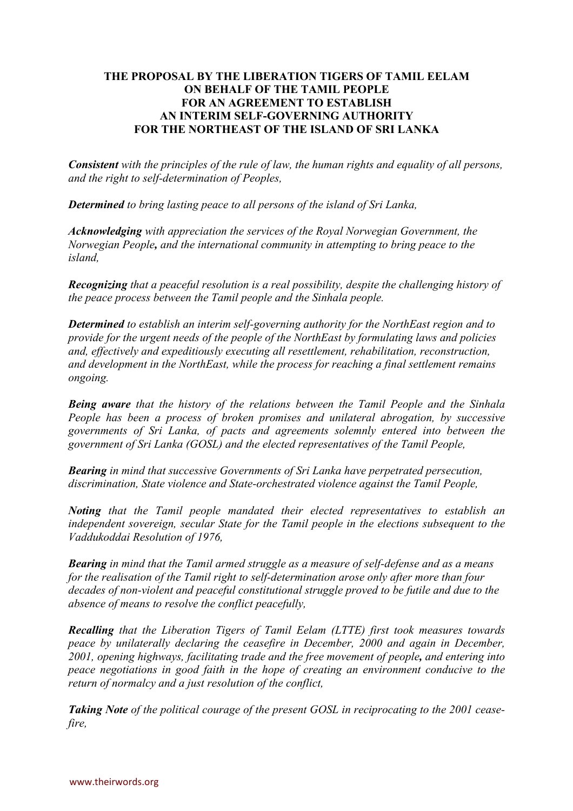### **THE PROPOSAL BY THE LIBERATION TIGERS OF TAMIL EELAM ON BEHALF OF THE TAMIL PEOPLE FOR AN AGREEMENT TO ESTABLISH AN INTERIM SELF-GOVERNING AUTHORITY FOR THE NORTHEAST OF THE ISLAND OF SRI LANKA**

*Consistent with the principles of the rule of law, the human rights and equality of all persons, and the right to self-determination of Peoples,* 

*Determined to bring lasting peace to all persons of the island of Sri Lanka,* 

*Acknowledging with appreciation the services of the Royal Norwegian Government, the Norwegian People, and the international community in attempting to bring peace to the island,* 

*Recognizing that a peaceful resolution is a real possibility, despite the challenging history of the peace process between the Tamil people and the Sinhala people.* 

*Determined to establish an interim self-governing authority for the NorthEast region and to provide for the urgent needs of the people of the NorthEast by formulating laws and policies and, effectively and expeditiously executing all resettlement, rehabilitation, reconstruction, and development in the NorthEast, while the process for reaching a final settlement remains ongoing.* 

*Being aware that the history of the relations between the Tamil People and the Sinhala People has been a process of broken promises and unilateral abrogation, by successive governments of Sri Lanka, of pacts and agreements solemnly entered into between the government of Sri Lanka (GOSL) and the elected representatives of the Tamil People,* 

*Bearing in mind that successive Governments of Sri Lanka have perpetrated persecution, discrimination, State violence and State-orchestrated violence against the Tamil People,* 

*Noting that the Tamil people mandated their elected representatives to establish an independent sovereign, secular State for the Tamil people in the elections subsequent to the Vaddukoddai Resolution of 1976,* 

*Bearing in mind that the Tamil armed struggle as a measure of self-defense and as a means for the realisation of the Tamil right to self-determination arose only after more than four decades of non-violent and peaceful constitutional struggle proved to be futile and due to the absence of means to resolve the conflict peacefully,*

*Recalling that the Liberation Tigers of Tamil Eelam (LTTE) first took measures towards peace by unilaterally declaring the ceasefire in December, 2000 and again in December, 2001, opening highways, facilitating trade and the free movement of people, and entering into peace negotiations in good faith in the hope of creating an environment conducive to the return of normalcy and a just resolution of the conflict,* 

*Taking Note of the political courage of the present GOSL in reciprocating to the 2001 ceasefire,*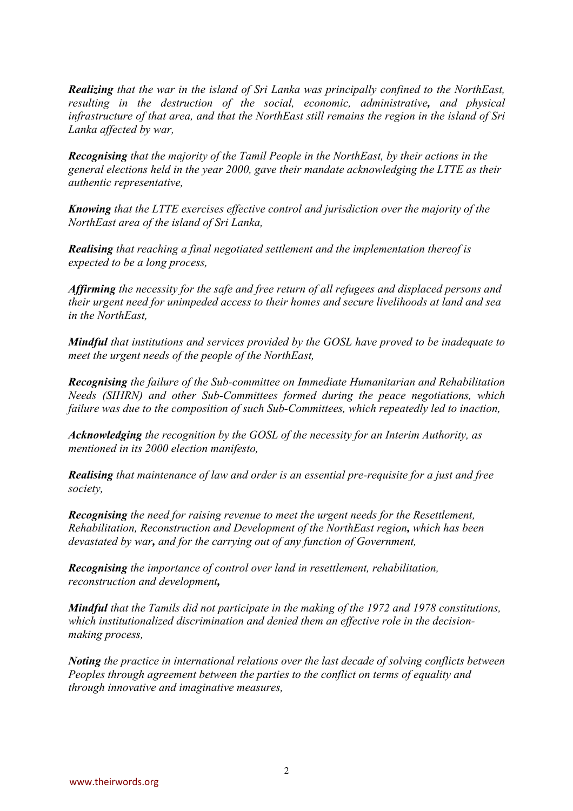*Realizing that the war in the island of Sri Lanka was principally confined to the NorthEast, resulting in the destruction of the social, economic, administrative, and physical infrastructure of that area, and that the NorthEast still remains the region in the island of Sri Lanka affected by war,* 

*Recognising that the majority of the Tamil People in the NorthEast, by their actions in the general elections held in the year 2000, gave their mandate acknowledging the LTTE as their authentic representative,* 

*Knowing that the LTTE exercises effective control and jurisdiction over the majority of the NorthEast area of the island of Sri Lanka,* 

*Realising that reaching a final negotiated settlement and the implementation thereof is expected to be a long process,* 

*Affirming the necessity for the safe and free return of all refugees and displaced persons and their urgent need for unimpeded access to their homes and secure livelihoods at land and sea in the NorthEast,* 

*Mindful that institutions and services provided by the GOSL have proved to be inadequate to meet the urgent needs of the people of the NorthEast,* 

*Recognising the failure of the Sub-committee on Immediate Humanitarian and Rehabilitation Needs (SIHRN) and other Sub-Committees formed during the peace negotiations, which failure was due to the composition of such Sub-Committees, which repeatedly led to inaction,* 

*Acknowledging the recognition by the GOSL of the necessity for an Interim Authority, as mentioned in its 2000 election manifesto,* 

*Realising that maintenance of law and order is an essential pre-requisite for a just and free society,* 

*Recognising the need for raising revenue to meet the urgent needs for the Resettlement, Rehabilitation, Reconstruction and Development of the NorthEast region, which has been devastated by war, and for the carrying out of any function of Government,* 

*Recognising the importance of control over land in resettlement, rehabilitation, reconstruction and development,*

*Mindful that the Tamils did not participate in the making of the 1972 and 1978 constitutions, which institutionalized discrimination and denied them an effective role in the decisionmaking process,* 

*Noting the practice in international relations over the last decade of solving conflicts between Peoples through agreement between the parties to the conflict on terms of equality and through innovative and imaginative measures,*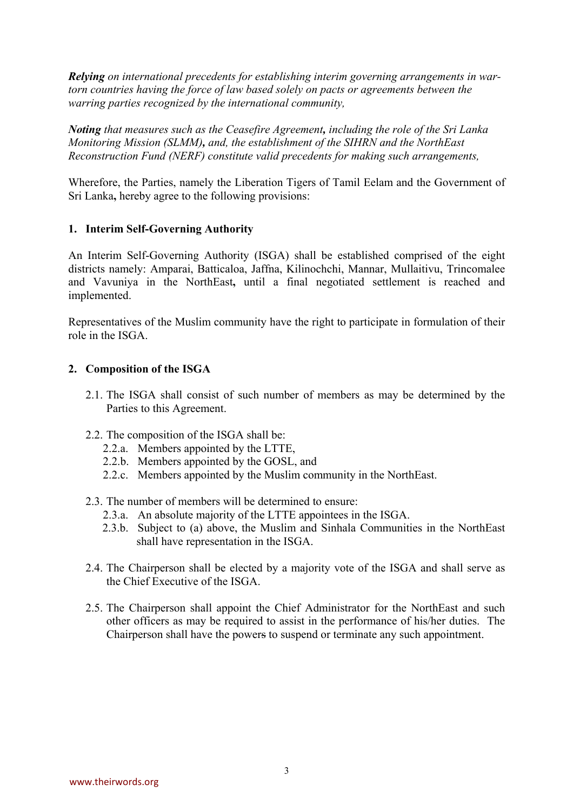*Relying on international precedents for establishing interim governing arrangements in wartorn countries having the force of law based solely on pacts or agreements between the warring parties recognized by the international community,* 

*Noting that measures such as the Ceasefire Agreement, including the role of the Sri Lanka Monitoring Mission (SLMM), and, the establishment of the SIHRN and the NorthEast Reconstruction Fund (NERF) constitute valid precedents for making such arrangements,* 

Wherefore, the Parties, namely the Liberation Tigers of Tamil Eelam and the Government of Sri Lanka**,** hereby agree to the following provisions:

#### **1. Interim Self-Governing Authority**

An Interim Self-Governing Authority (ISGA) shall be established comprised of the eight districts namely: Amparai, Batticaloa, Jaffna, Kilinochchi, Mannar, Mullaitivu, Trincomalee and Vavuniya in the NorthEast**,** until a final negotiated settlement is reached and implemented.

Representatives of the Muslim community have the right to participate in formulation of their role in the ISGA.

#### **2. Composition of the ISGA**

- 2.1. The ISGA shall consist of such number of members as may be determined by the Parties to this Agreement.
- 2.2. The composition of the ISGA shall be:
	- 2.2.a. Members appointed by the LTTE,
	- 2.2.b. Members appointed by the GOSL, and
	- 2.2.c. Members appointed by the Muslim community in the NorthEast.
- 2.3. The number of members will be determined to ensure:
	- 2.3.a. An absolute majority of the LTTE appointees in the ISGA.
	- 2.3.b. Subject to (a) above, the Muslim and Sinhala Communities in the NorthEast shall have representation in the ISGA.
- 2.4. The Chairperson shall be elected by a majority vote of the ISGA and shall serve as the Chief Executive of the ISGA.
- 2.5. The Chairperson shall appoint the Chief Administrator for the NorthEast and such other officers as may be required to assist in the performance of his/her duties. The Chairperson shall have the powers to suspend or terminate any such appointment.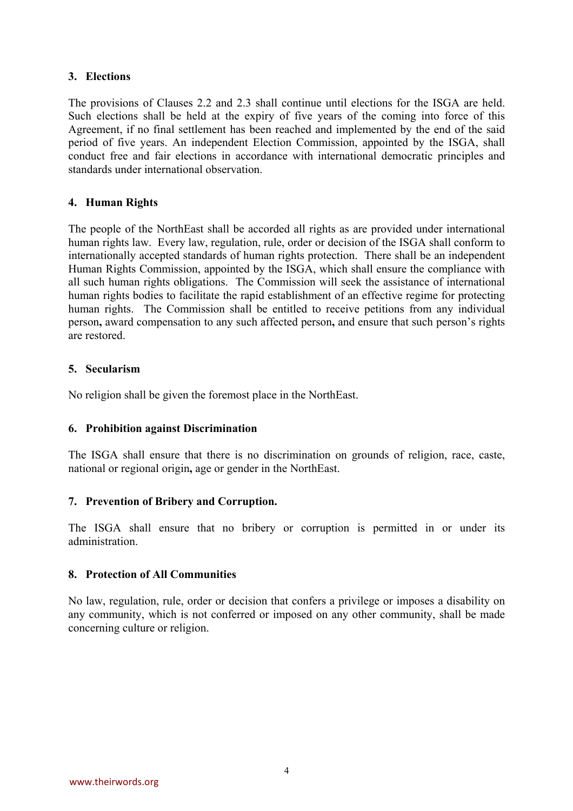### **3. Elections**

The provisions of Clauses 2.2 and 2.3 shall continue until elections for the ISGA are held. Such elections shall be held at the expiry of five years of the coming into force of this Agreement, if no final settlement has been reached and implemented by the end of the said period of five years. An independent Election Commission, appointed by the ISGA, shall conduct free and fair elections in accordance with international democratic principles and standards under international observation.

# **4. Human Rights**

The people of the NorthEast shall be accorded all rights as are provided under international human rights law. Every law, regulation, rule, order or decision of the ISGA shall conform to internationally accepted standards of human rights protection. There shall be an independent Human Rights Commission, appointed by the ISGA, which shall ensure the compliance with all such human rights obligations. The Commission will seek the assistance of international human rights bodies to facilitate the rapid establishment of an effective regime for protecting human rights. The Commission shall be entitled to receive petitions from any individual person**,** award compensation to any such affected person**,** and ensure that such person's rights are restored.

# **5. Secularism**

No religion shall be given the foremost place in the NorthEast.

# **6. Prohibition against Discrimination**

The ISGA shall ensure that there is no discrimination on grounds of religion, race, caste, national or regional origin**,** age or gender in the NorthEast.

# **7. Prevention of Bribery and Corruption.**

The ISGA shall ensure that no bribery or corruption is permitted in or under its administration.

# **8. Protection of All Communities**

No law, regulation, rule, order or decision that confers a privilege or imposes a disability on any community, which is not conferred or imposed on any other community, shall be made concerning culture or religion.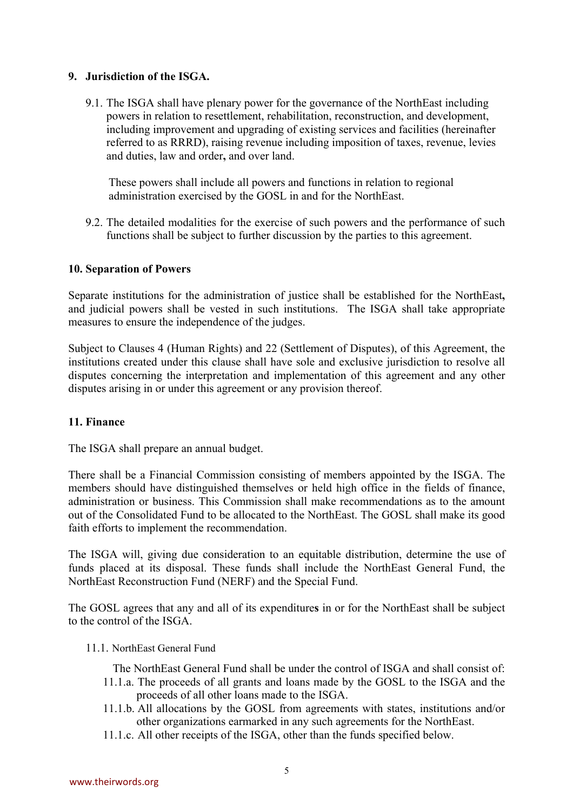### **9. Jurisdiction of the ISGA.**

9.1. The ISGA shall have plenary power for the governance of the NorthEast including powers in relation to resettlement, rehabilitation, reconstruction, and development, including improvement and upgrading of existing services and facilities (hereinafter referred to as RRRD), raising revenue including imposition of taxes, revenue, levies and duties, law and order**,** and over land.

These powers shall include all powers and functions in relation to regional administration exercised by the GOSL in and for the NorthEast.

9.2. The detailed modalities for the exercise of such powers and the performance of such functions shall be subject to further discussion by the parties to this agreement.

### **10. Separation of Powers**

Separate institutions for the administration of justice shall be established for the NorthEast**,** and judicial powers shall be vested in such institutions. The ISGA shall take appropriate measures to ensure the independence of the judges.

Subject to Clauses 4 (Human Rights) and 22 (Settlement of Disputes), of this Agreement, the institutions created under this clause shall have sole and exclusive jurisdiction to resolve all disputes concerning the interpretation and implementation of this agreement and any other disputes arising in or under this agreement or any provision thereof.

### **11. Finance**

The ISGA shall prepare an annual budget.

There shall be a Financial Commission consisting of members appointed by the ISGA. The members should have distinguished themselves or held high office in the fields of finance, administration or business. This Commission shall make recommendations as to the amount out of the Consolidated Fund to be allocated to the NorthEast. The GOSL shall make its good faith efforts to implement the recommendation.

The ISGA will, giving due consideration to an equitable distribution, determine the use of funds placed at its disposal. These funds shall include the NorthEast General Fund, the NorthEast Reconstruction Fund (NERF) and the Special Fund.

The GOSL agrees that any and all of its expenditure**s** in or for the NorthEast shall be subject to the control of the ISGA.

#### 11.1. NorthEast General Fund

The NorthEast General Fund shall be under the control of ISGA and shall consist of:

- 11.1.a. The proceeds of all grants and loans made by the GOSL to the ISGA and the proceeds of all other loans made to the ISGA.
- 11.1.b. All allocations by the GOSL from agreements with states, institutions and/or other organizations earmarked in any such agreements for the NorthEast.
- 11.1.c. All other receipts of the ISGA, other than the funds specified below.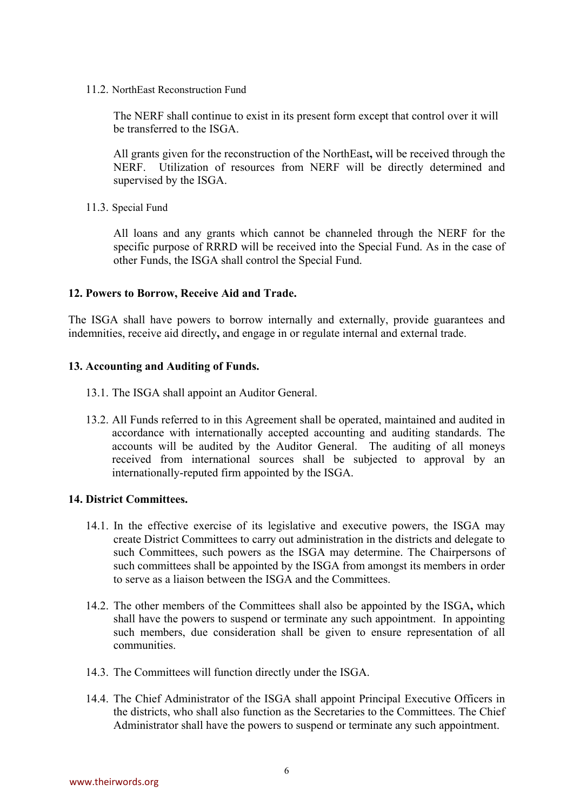11.2. NorthEast Reconstruction Fund

The NERF shall continue to exist in its present form except that control over it will be transferred to the ISGA.

All grants given for the reconstruction of the NorthEast**,** will be received through the NERF. Utilization of resources from NERF will be directly determined and supervised by the ISGA.

11.3. Special Fund

All loans and any grants which cannot be channeled through the NERF for the specific purpose of RRRD will be received into the Special Fund. As in the case of other Funds, the ISGA shall control the Special Fund.

### **12. Powers to Borrow, Receive Aid and Trade.**

The ISGA shall have powers to borrow internally and externally, provide guarantees and indemnities, receive aid directly**,** and engage in or regulate internal and external trade.

### **13. Accounting and Auditing of Funds.**

- 13.1. The ISGA shall appoint an Auditor General.
- 13.2. All Funds referred to in this Agreement shall be operated, maintained and audited in accordance with internationally accepted accounting and auditing standards. The accounts will be audited by the Auditor General. The auditing of all moneys received from international sources shall be subjected to approval by an internationally-reputed firm appointed by the ISGA.

# **14. District Committees.**

- 14.1. In the effective exercise of its legislative and executive powers, the ISGA may create District Committees to carry out administration in the districts and delegate to such Committees, such powers as the ISGA may determine. The Chairpersons of such committees shall be appointed by the ISGA from amongst its members in order to serve as a liaison between the ISGA and the Committees.
- 14.2. The other members of the Committees shall also be appointed by the ISGA**,** which shall have the powers to suspend or terminate any such appointment. In appointing such members, due consideration shall be given to ensure representation of all communities.
- 14.3. The Committees will function directly under the ISGA.
- 14.4. The Chief Administrator of the ISGA shall appoint Principal Executive Officers in the districts, who shall also function as the Secretaries to the Committees. The Chief Administrator shall have the powers to suspend or terminate any such appointment.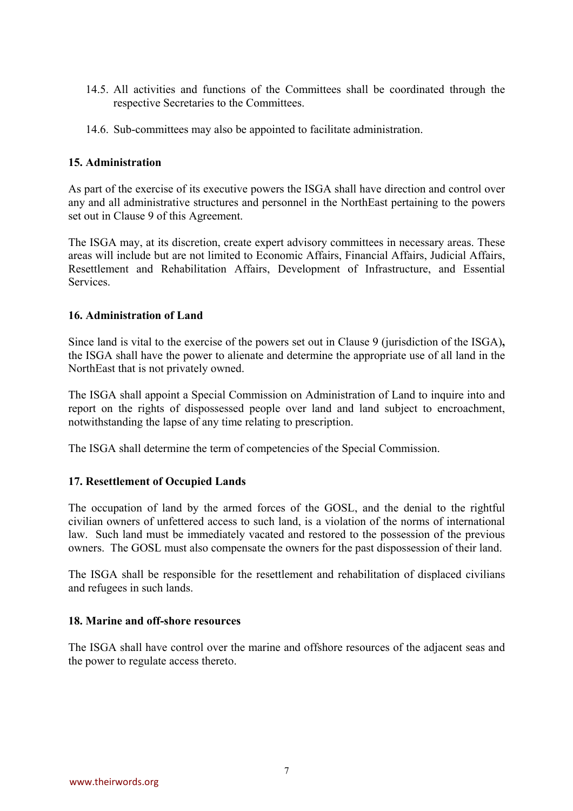- 14.5. All activities and functions of the Committees shall be coordinated through the respective Secretaries to the Committees.
- 14.6. Sub-committees may also be appointed to facilitate administration.

### **15. Administration**

As part of the exercise of its executive powers the ISGA shall have direction and control over any and all administrative structures and personnel in the NorthEast pertaining to the powers set out in Clause 9 of this Agreement.

The ISGA may, at its discretion, create expert advisory committees in necessary areas. These areas will include but are not limited to Economic Affairs, Financial Affairs, Judicial Affairs, Resettlement and Rehabilitation Affairs, Development of Infrastructure, and Essential **Services** 

#### **16. Administration of Land**

Since land is vital to the exercise of the powers set out in Clause 9 (jurisdiction of the ISGA)**,** the ISGA shall have the power to alienate and determine the appropriate use of all land in the NorthEast that is not privately owned.

The ISGA shall appoint a Special Commission on Administration of Land to inquire into and report on the rights of dispossessed people over land and land subject to encroachment, notwithstanding the lapse of any time relating to prescription.

The ISGA shall determine the term of competencies of the Special Commission.

# **17. Resettlement of Occupied Lands**

The occupation of land by the armed forces of the GOSL, and the denial to the rightful civilian owners of unfettered access to such land, is a violation of the norms of international law. Such land must be immediately vacated and restored to the possession of the previous owners. The GOSL must also compensate the owners for the past dispossession of their land.

The ISGA shall be responsible for the resettlement and rehabilitation of displaced civilians and refugees in such lands.

#### **18. Marine and off-shore resources**

The ISGA shall have control over the marine and offshore resources of the adjacent seas and the power to regulate access thereto.